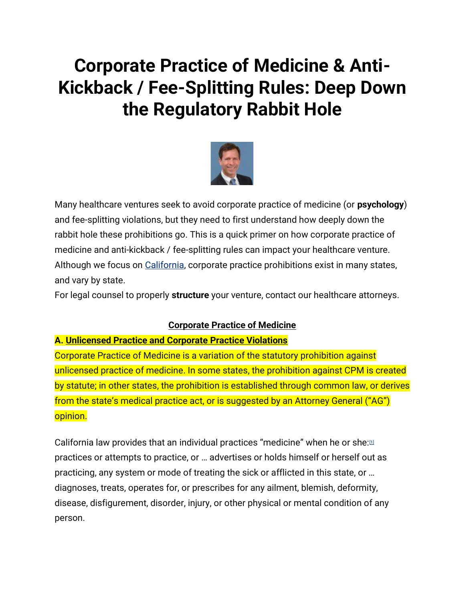## **Corporate Practice of Medicine & Anti-Kickback / Fee-Splitting Rules: Deep Down the Regulatory Rabbit Hole**



Many healthcare ventures seek to avoid corporate practice of medicine (or **psychology**) and fee-splitting violations, but they need to first understand how deeply down the rabbit hole these prohibitions go. This is a quick primer on how corporate practice of medicine and anti-kickback / fee-splitting rules can impact your healthcare venture. Although we focus on [California,](https://michaelhcohen.com/2013/07/michael-h-cohen-speaking-on-fda-related-legal-issues-in-online-health-ventures/) corporate practice prohibitions exist in many states, and vary by state.

For legal counsel to properly **structure** your venture, contact our healthcare attorneys.

## **Corporate Practice of Medicine**

## **A. Unlicensed Practice and Corporate Practice Violations**

Corporate Practice of Medicine is a variation of the statutory prohibition against unlicensed practice of medicine. In some states, the prohibition against CPM is created by statute; in other states, the prohibition is established through common law, or derives from the state's medical practice act, or is suggested by an Attorney General ("AG") opinion.

California law provides that an individual practices "medicine" when he or she:<sup>[\[1\]](https://michaelhcohen.com/2014/07/corporate-practice-of-medicine-anti-kickback-fee-splitting-rules-deep-down-the-regulatory-rabbit-hole/#_ftn1)</sup> practices or attempts to practice, or … advertises or holds himself or herself out as practicing, any system or mode of treating the sick or afflicted in this state, or … diagnoses, treats, operates for, or prescribes for any ailment, blemish, deformity, disease, disfigurement, disorder, injury, or other physical or mental condition of any person.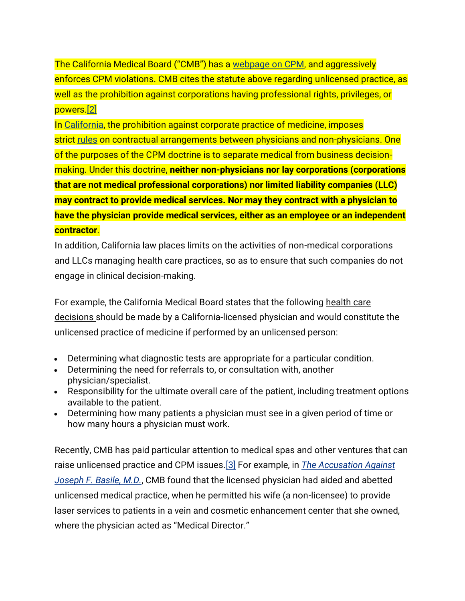The California Medical Board ("CMB") has a [webpage](http://www.mbc.ca.gov/Licensees/Corporate_Practice.aspx) on CPM, and aggressively enforces CPM violations. CMB cites the statute above regarding unlicensed practice, as well as the prohibition against corporations having professional rights, privileges, or powers[.\[2\]](https://michaelhcohen.com/2014/07/corporate-practice-of-medicine-anti-kickback-fee-splitting-rules-deep-down-the-regulatory-rabbit-hole/#_ftn2)

In [California,](https://michaelhcohen.com/2015/08/3-integrative-medicine-legal-trends-can-make-break-integrative-medicine-practice/) the prohibition against corporate practice of medicine, imposes strict [rules](https://michaelhcohen.com/2016/10/when-leaving-a-medical-practice-can-you-take-patient-records/) on contractual arrangements between physicians and non-physicians. One of the purposes of the CPM doctrine is to separate medical from business decisionmaking. Under this doctrine, **neither non-physicians nor lay corporations (corporations that are not medical professional corporations) nor limited liability companies (LLC) may contract to provide medical services. Nor may they contract with a physician to have the physician provide medical services, either as an employee or an independent contractor**.

In addition, California law places limits on the activities of non-medical corporations and LLCs managing health care practices, so as to ensure that such companies do not engage in clinical decision-making.

For example, the California Medical Board states that the following health care decisions should be made by a California-licensed physician and would constitute the unlicensed practice of medicine if performed by an unlicensed person:

- Determining what diagnostic tests are appropriate for a particular condition.
- Determining the need for referrals to, or consultation with, another physician/specialist.
- Responsibility for the ultimate overall care of the patient, including treatment options available to the patient.
- Determining how many patients a physician must see in a given period of time or how many hours a physician must work.

Recently, CMB has paid particular attention to medical spas and other ventures that can raise unlicensed practice and CPM issues[.\[3\]](https://michaelhcohen.com/2014/07/corporate-practice-of-medicine-anti-kickback-fee-splitting-rules-deep-down-the-regulatory-rabbit-hole/#_ftn3) For example, in *The [Accusation](http://www.mbc.ca.gov/Precedential_Decisions/precedentialDecision_MBC-2007-01-Q.pdf) Against [Joseph](http://www.mbc.ca.gov/Precedential_Decisions/precedentialDecision_MBC-2007-01-Q.pdf) F. Basile, M.D.*, CMB found that the licensed physician had aided and abetted unlicensed medical practice, when he permitted his wife (a non-licensee) to provide laser services to patients in a vein and cosmetic enhancement center that she owned, where the physician acted as "Medical Director."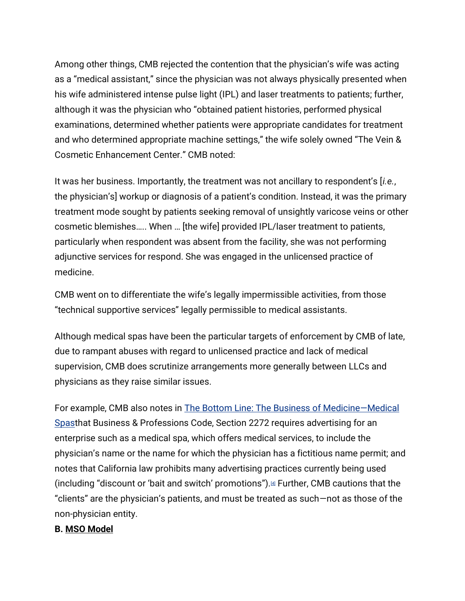Among other things, CMB rejected the contention that the physician's wife was acting as a "medical assistant," since the physician was not always physically presented when his wife administered intense pulse light (IPL) and laser treatments to patients; further, although it was the physician who "obtained patient histories, performed physical examinations, determined whether patients were appropriate candidates for treatment and who determined appropriate machine settings," the wife solely owned "The Vein & Cosmetic Enhancement Center." CMB noted:

It was her business. Importantly, the treatment was not ancillary to respondent's [*i.e.*, the physician's] workup or diagnosis of a patient's condition. Instead, it was the primary treatment mode sought by patients seeking removal of unsightly varicose veins or other cosmetic blemishes….. When … [the wife] provided IPL/laser treatment to patients, particularly when respondent was absent from the facility, she was not performing adjunctive services for respond. She was engaged in the unlicensed practice of medicine.

CMB went on to differentiate the wife's legally impermissible activities, from those "technical supportive services" legally permissible to medical assistants.

Although medical spas have been the particular targets of enforcement by CMB of late, due to rampant abuses with regard to unlicensed practice and lack of medical supervision, CMB does scrutinize arrangements more generally between LLCs and physicians as they raise similar issues.

For example, CMB also notes in The Bottom Line: The Business of [Medicine](http://www.mbc.ca.gov/Licensees/medical_spas-business.pdf)—Medical [Spast](http://www.mbc.ca.gov/Licensees/medical_spas-business.pdf)hat Business & Professions Code, Section 2272 requires advertising for an enterprise such as a medical spa, which offers medical services, to include the physician's name or the name for which the physician has a fictitious name permit; and notes that California law prohibits many advertising practices currently being used (including "discount or 'bait and switch' promotions").[\[4\]](https://michaelhcohen.com/2014/07/corporate-practice-of-medicine-anti-kickback-fee-splitting-rules-deep-down-the-regulatory-rabbit-hole/#_ftn4) Further, CMB cautions that the "clients" are the physician's patients, and must be treated as such—not as those of the non-physician entity.

## **B. MSO Model**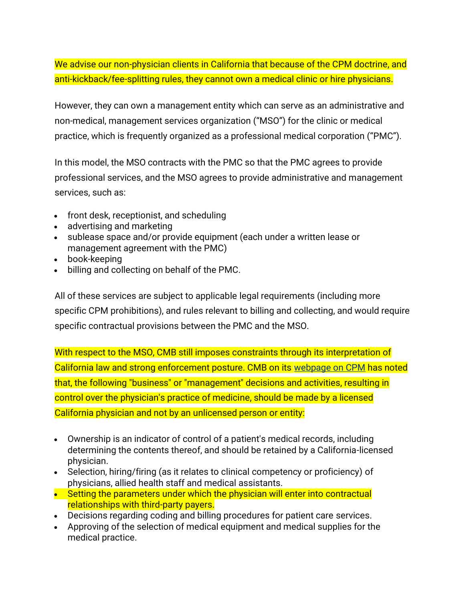We advise our non-physician clients in California that because of the CPM doctrine, and anti-kickback/fee-splitting rules, they cannot own a medical clinic or hire physicians.

However, they can own a management entity which can serve as an administrative and non-medical, management services organization ("MSO") for the clinic or medical practice, which is frequently organized as a professional medical corporation ("PMC").

In this model, the MSO contracts with the PMC so that the PMC agrees to provide professional services, and the MSO agrees to provide administrative and management services, such as:

- front desk, receptionist, and scheduling
- advertising and marketing
- sublease space and/or provide equipment (each under a written lease or management agreement with the PMC)
- book-keeping
- billing and collecting on behalf of the PMC.

All of these services are subject to applicable legal requirements (including more specific CPM prohibitions), and rules relevant to billing and collecting, and would require specific contractual provisions between the PMC and the MSO.

With respect to the MSO, CMB still imposes constraints through its interpretation of California law and strong enforcement posture. CMB on its [webpage](http://www.mbc.ca.gov/Licensees/Corporate_Practice.aspx) on CPM has noted that, the following "business" or "management" decisions and activities, resulting in control over the physician's practice of medicine, should be made by a licensed California physician and not by an unlicensed person or entity:

- Ownership is an indicator of control of a patient's medical records, including determining the contents thereof, and should be retained by a California-licensed physician.
- Selection, hiring/firing (as it relates to clinical competency or proficiency) of physicians, allied health staff and medical assistants.
- Setting the parameters under which the physician will enter into contractual relationships with third-party payers.
- Decisions regarding coding and billing procedures for patient care services.
- Approving of the selection of medical equipment and medical supplies for the medical practice.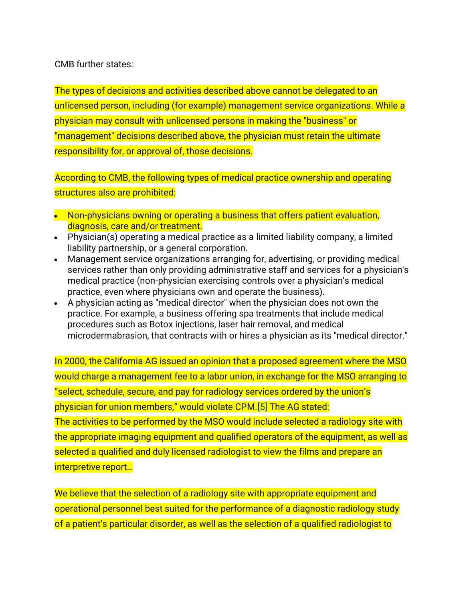CMB further states:

The types of decisions and activities described above cannot be delegated to an unlicensed person, including (for example) management service organizations. While a physician may consult with unlicensed persons in making the "business" or "management" decisions described above, the physician must retain the ultimate responsibility for, or approval of, those decisions.

According to CMB, the following types of medical practice ownership and operating structures also are prohibited:

- Non-physicians owning or operating a business that offers patient evaluation, diagnosis, care and/or treatment.
- Physician(s) operating a medical practice as a limited liability company, a limited liability partnership, or a general corporation.
- Management service organizations arranging for, advertising, or providing medical services rather than only providing administrative staff and services for a physician's medical practice (non-physician exercising controls over a physician's medical practice, even where physicians own and operate the business).
- A physician acting as "medical director" when the physician does not own the practice. For example, a business offering spa treatments that include medical procedures such as Botox injections, laser hair removal, and medical microdermabrasion, that contracts with or hires a physician as its "medical director."

In 2000, the California AG issued an opinion that a proposed agreement where the MSO would charge a management fee to a labor union, in exchange for the MSO arranging to "select, schedule, secure, and pay for radiology services ordered by the union's physician for union members," would violate CPM.[\[5\]](https://michaelhcohen.com/2014/07/corporate-practice-of-medicine-anti-kickback-fee-splitting-rules-deep-down-the-regulatory-rabbit-hole/#_ftn5) The AG stated: The activities to be performed by the MSO would include selected a radiology site with the appropriate imaging equipment and qualified operators of the equipment, as well as selected a qualified and duly licensed radiologist to view the films and prepare an interpretive report…

We believe that the selection of a radiology site with appropriate equipment and operational personnel best suited for the performance of a diagnostic radiology study of a patient's particular disorder, as well as the selection of a qualified radiologist to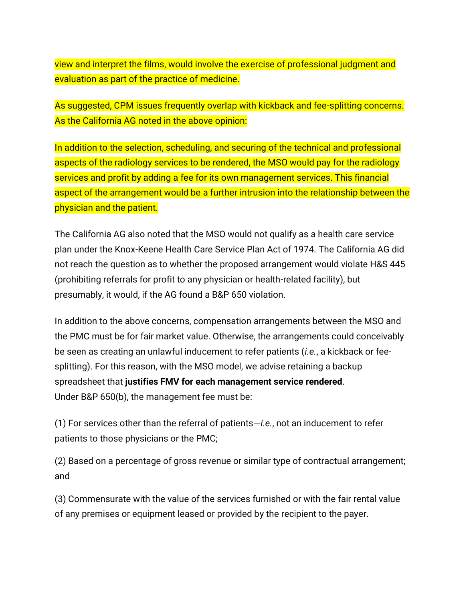view and interpret the films, would involve the exercise of professional judgment and evaluation as part of the practice of medicine.

As suggested, CPM issues frequently overlap with kickback and fee-splitting concerns. As the California AG noted in the above opinion:

In addition to the selection, scheduling, and securing of the technical and professional aspects of the radiology services to be rendered, the MSO would pay for the radiology services and profit by adding a fee for its own management services. This financial aspect of the arrangement would be a further intrusion into the relationship between the physician and the patient.

The California AG also noted that the MSO would not qualify as a health care service plan under the Knox-Keene Health Care Service Plan Act of 1974. The California AG did not reach the question as to whether the proposed arrangement would violate H&S 445 (prohibiting referrals for profit to any physician or health-related facility), but presumably, it would, if the AG found a B&P 650 violation.

In addition to the above concerns, compensation arrangements between the MSO and the PMC must be for fair market value. Otherwise, the arrangements could conceivably be seen as creating an unlawful inducement to refer patients (*i.e.*, a kickback or feesplitting). For this reason, with the MSO model, we advise retaining a backup spreadsheet that **justifies FMV for each management service rendered**. Under B&P 650(b), the management fee must be:

(1) For services other than the referral of patients—*i.e.*, not an inducement to refer patients to those physicians or the PMC;

(2) Based on a percentage of gross revenue or similar type of contractual arrangement; and

(3) Commensurate with the value of the services furnished or with the fair rental value of any premises or equipment leased or provided by the recipient to the payer.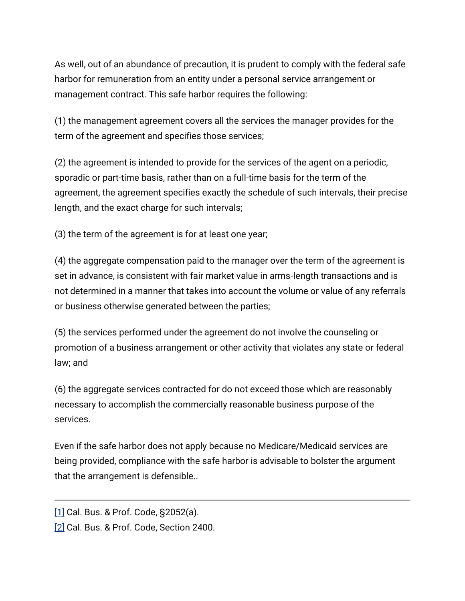As well, out of an abundance of precaution, it is prudent to comply with the federal safe harbor for remuneration from an entity under a personal service arrangement or management contract. This safe harbor requires the following:

(1) the management agreement covers all the services the manager provides for the term of the agreement and specifies those services;

(2) the agreement is intended to provide for the services of the agent on a periodic, sporadic or part-time basis, rather than on a full-time basis for the term of the agreement, the agreement specifies exactly the schedule of such intervals, their precise length, and the exact charge for such intervals;

(3) the term of the agreement is for at least one year;

(4) the aggregate compensation paid to the manager over the term of the agreement is set in advance, is consistent with fair market value in arms-length transactions and is not determined in a manner that takes into account the volume or value of any referrals or business otherwise generated between the parties;

(5) the services performed under the agreement do not involve the counseling or promotion of a business arrangement or other activity that violates any state or federal law; and

(6) the aggregate services contracted for do not exceed those which are reasonably necessary to accomplish the commercially reasonable business purpose of the services.

Even if the safe harbor does not apply because no Medicare/Medicaid services are being provided, compliance with the safe harbor is advisable to bolster the argument that the arrangement is defensible..

[<sup>\[1\]</sup>](https://michaelhcohen.com/2014/07/corporate-practice-of-medicine-anti-kickback-fee-splitting-rules-deep-down-the-regulatory-rabbit-hole/#_ftnref1) Cal. Bus. & Prof. Code, §2052(a).

[<sup>\[2\]</sup>](https://michaelhcohen.com/2014/07/corporate-practice-of-medicine-anti-kickback-fee-splitting-rules-deep-down-the-regulatory-rabbit-hole/#_ftnref2) Cal. Bus. & Prof. Code, Section 2400.